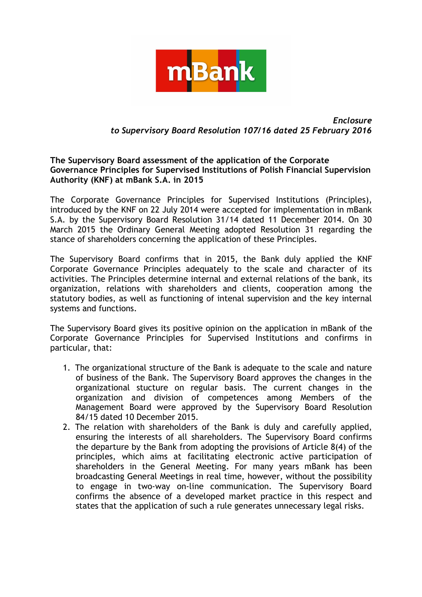

## *Enclosure to Supervisory Board Resolution 107/16 dated 25 February 2016*

## **The Supervisory Board assessment of the application of the Corporate Governance Principles for Supervised Institutions of Polish Financial Supervision Authority (KNF) at mBank S.A. in 2015**

The Corporate Governance Principles for Supervised Institutions (Principles), introduced by the KNF on 22 July 2014 were accepted for implementation in mBank S.A. by the Supervisory Board Resolution 31/14 dated 11 December 2014. On 30 March 2015 the Ordinary General Meeting adopted Resolution 31 regarding the stance of shareholders concerning the application of these Principles.

The Supervisory Board confirms that in 2015, the Bank duly applied the KNF Corporate Governance Principles adequately to the scale and character of its activities. The Principles determine internal and external relations of the bank, its organization, relations with shareholders and clients, cooperation among the statutory bodies, as well as functioning of intenal supervision and the key internal systems and functions.

The Supervisory Board gives its positive opinion on the application in mBank of the Corporate Governance Principles for Supervised Institutions and confirms in particular, that:

- 1. The organizational structure of the Bank is adequate to the scale and nature of business of the Bank. The Supervisory Board approves the changes in the organizational stucture on regular basis. The current changes in the organization and division of competences among Members of the Management Board were approved by the Supervisory Board Resolution 84/15 dated 10 December 2015.
- 2. The relation with shareholders of the Bank is duly and carefully applied, ensuring the interests of all shareholders. The Supervisory Board confirms the departure by the Bank from adopting the provisions of Article 8(4) of the principles, which aims at facilitating electronic active participation of shareholders in the General Meeting. For many years mBank has been broadcasting General Meetings in real time, however, without the possibility to engage in two-way on-line communication. The Supervisory Board confirms the absence of a developed market practice in this respect and states that the application of such a rule generates unnecessary legal risks.